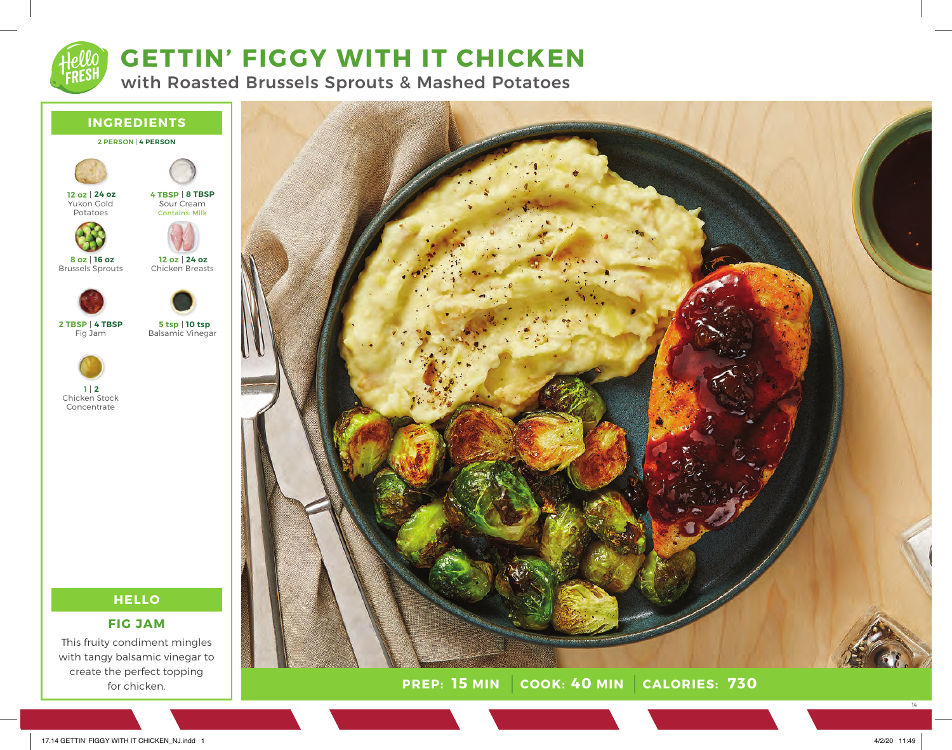

# **GETTIN' FIGGY WITH IT CHICKEN**

with Roasted Brussels Sprouts & Mashed Potatoes



**PREP:** 15 MIN COOK: 40 MIN **15 MIN 40 MIN 730**

17.14 GETTIN' FIGGY WITH IT CHICKEN\_NJ.indd 1 4/2/20 11:49

for chicken.

14